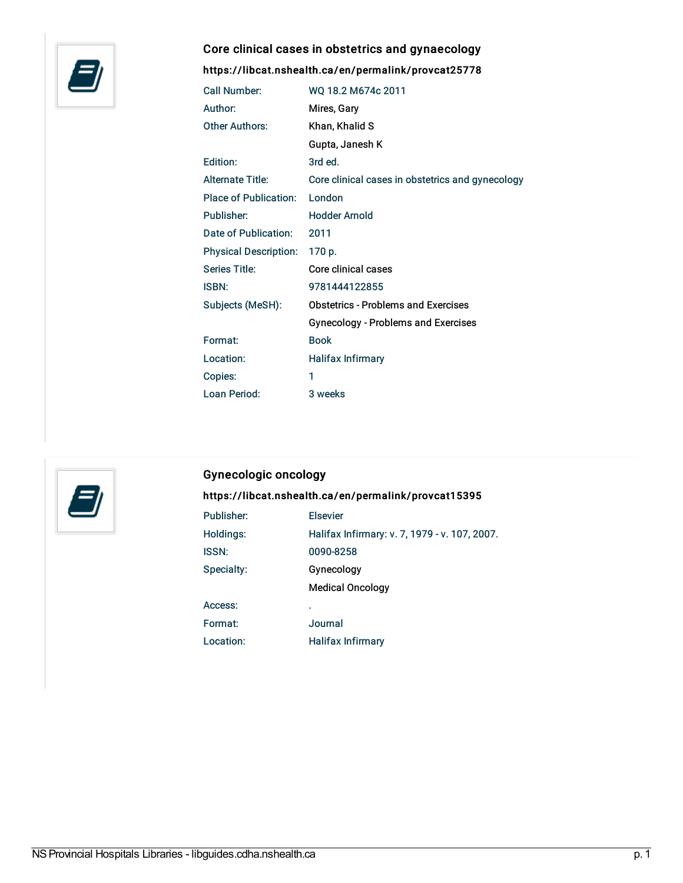

# Core clinical cases in obstetrics and gynaecology

#### <https://libcat.nshealth.ca/en/permalink/provcat25778>

| <b>Call Number:</b>          | WQ 18.2 M674c 2011                               |
|------------------------------|--------------------------------------------------|
| Author:                      | Mires, Gary                                      |
| Other Authors:               | Khan, Khalid S                                   |
|                              | Gupta, Janesh K                                  |
| Edition:                     | 3rd ed.                                          |
| <b>Alternate Title:</b>      | Core clinical cases in obstetrics and gynecology |
| Place of Publication:        | London                                           |
| Publisher:                   | <b>Hodder Arnold</b>                             |
| Date of Publication:         | 2011                                             |
| <b>Physical Description:</b> | 170 p.                                           |
| Series Title:                | Core clinical cases                              |
| <b>ISBN:</b>                 | 9781444122855                                    |
| Subjects (MeSH):             | <b>Obstetrics - Problems and Exercises</b>       |
|                              | <b>Gynecology - Problems and Exercises</b>       |
| Format:                      | <b>Book</b>                                      |
| Location:                    | <b>Halifax Infirmary</b>                         |
| Copies:                      | 1                                                |
| Loan Period:                 | 3 weeks                                          |



#### Gynecologic oncology

# <https://libcat.nshealth.ca/en/permalink/provcat15395>

| <b>Elsevier</b>                               |
|-----------------------------------------------|
| Halifax Infirmary: v. 7, 1979 - v. 107, 2007. |
| 0090-8258                                     |
| Gynecology                                    |
| <b>Medical Oncology</b>                       |
| ٠                                             |
| Journal                                       |
| <b>Halifax Infirmary</b>                      |
|                                               |